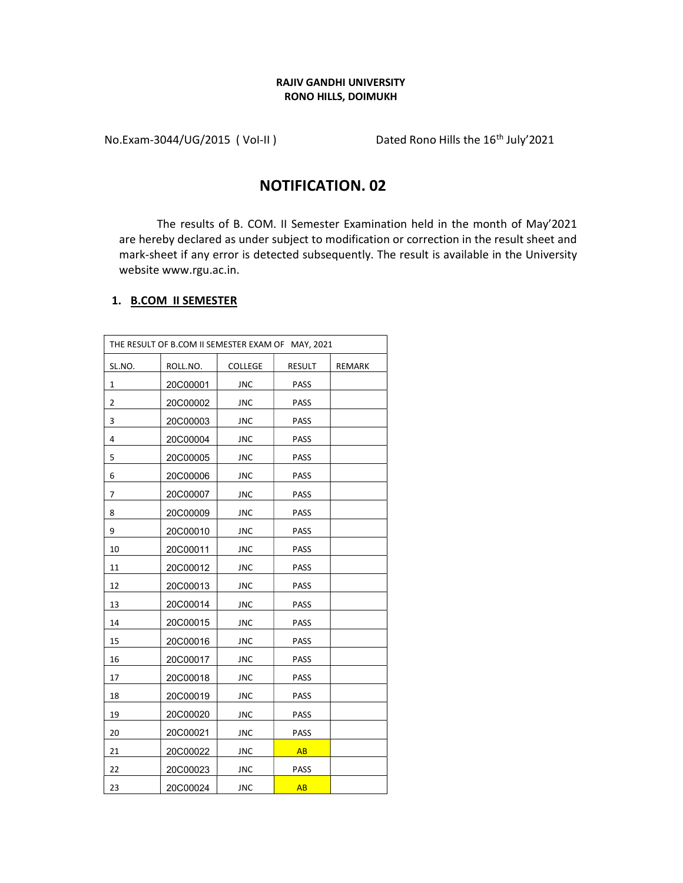## RAJIV GANDHI UNIVERSITY RONO HILLS, DOIMUKH

No.Exam-3044/UG/2015 (Vol-II) Dated Rono Hills the 16<sup>th</sup> July'2021

## NOTIFICATION. 02

The results of B. COM. II Semester Examination held in the month of May'2021 are hereby declared as under subject to modification or correction in the result sheet and mark-sheet if any error is detected subsequently. The result is available in the University website www.rgu.ac.in.

## 1. B.COM II SEMESTER

|        | THE RESULT OF B.COM II SEMESTER EXAM OF MAY, 2021 |            |             |               |
|--------|---------------------------------------------------|------------|-------------|---------------|
| SL.NO. | ROLL.NO.                                          | COLLEGE    | RESULT      | <b>REMARK</b> |
| 1      | 20C00001                                          | <b>JNC</b> | <b>PASS</b> |               |
| 2      | 20C00002                                          | JNC        | PASS        |               |
| 3      | 20C00003                                          | <b>JNC</b> | <b>PASS</b> |               |
| 4      | 20C00004                                          | <b>JNC</b> | PASS        |               |
| 5      | 20C00005                                          | <b>JNC</b> | <b>PASS</b> |               |
| 6      | 20C00006                                          | <b>JNC</b> | PASS        |               |
| 7      | 20C00007                                          | <b>JNC</b> | PASS        |               |
| 8      | 20C00009                                          | <b>JNC</b> | <b>PASS</b> |               |
| 9      | 20C00010                                          | JNC        | <b>PASS</b> |               |
| 10     | 20C00011                                          | <b>JNC</b> | PASS        |               |
| 11     | 20C00012                                          | <b>JNC</b> | PASS        |               |
| 12     | 20C00013                                          | JNC        | <b>PASS</b> |               |
| 13     | 20C00014                                          | JNC        | <b>PASS</b> |               |
| 14     | 20C00015                                          | <b>JNC</b> | PASS        |               |
| 15     | 20C00016                                          | <b>JNC</b> | PASS        |               |
| 16     | 20C00017                                          | JNC        | PASS        |               |
| 17     | 20C00018                                          | <b>JNC</b> | PASS        |               |
| 18     | 20C00019                                          | <b>JNC</b> | PASS        |               |
| 19     | 20C00020                                          | JNC        | <b>PASS</b> |               |
| 20     | 20C00021                                          | <b>JNC</b> | <b>PASS</b> |               |
| 21     | 20C00022                                          | <b>JNC</b> | AB          |               |
| 22     | 20C00023                                          | <b>JNC</b> | <b>PASS</b> |               |
| 23     | 20C00024                                          | <b>JNC</b> | <b>AB</b>   |               |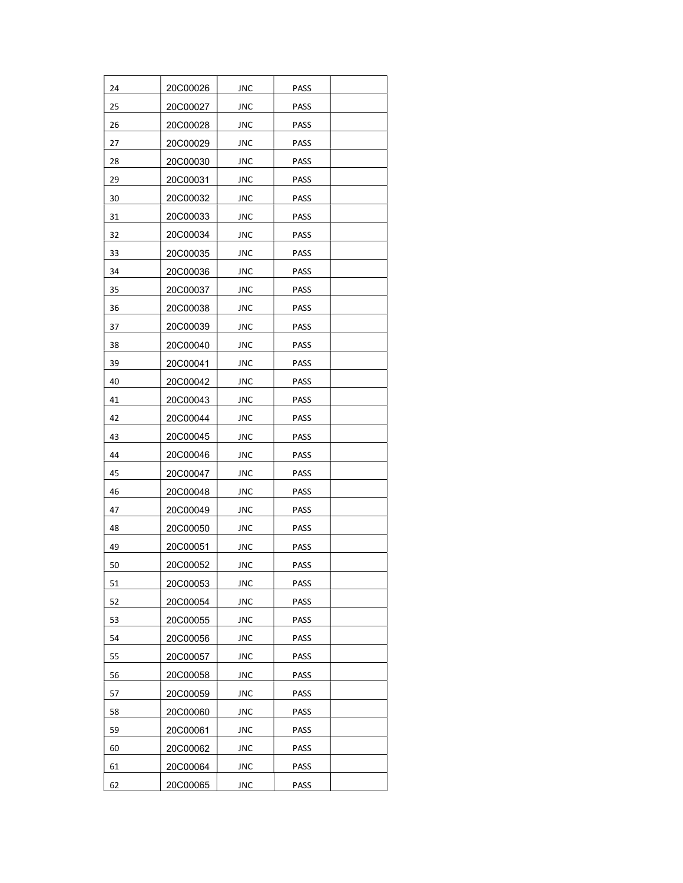| 24 | 20C00026 | JNC        | PASS        |  |
|----|----------|------------|-------------|--|
| 25 | 20C00027 | JNC        | <b>PASS</b> |  |
| 26 | 20C00028 | JNC        | PASS        |  |
| 27 | 20C00029 | JNC        | PASS        |  |
| 28 | 20C00030 | JNC        | PASS        |  |
| 29 | 20C00031 | JNC        | PASS        |  |
| 30 | 20C00032 | JNC        | <b>PASS</b> |  |
| 31 | 20C00033 | JNC        | PASS        |  |
| 32 | 20C00034 | JNC        | PASS        |  |
| 33 | 20C00035 | JNC        | <b>PASS</b> |  |
| 34 | 20C00036 | JNC        | PASS        |  |
| 35 | 20C00037 | JNC        | PASS        |  |
| 36 | 20C00038 | JNC        | <b>PASS</b> |  |
| 37 | 20C00039 | JNC        | <b>PASS</b> |  |
| 38 | 20C00040 | JNC        | PASS        |  |
| 39 | 20C00041 | JNC        | PASS        |  |
| 40 | 20C00042 | JNC        | PASS        |  |
| 41 | 20C00043 | JNC        | PASS        |  |
| 42 | 20C00044 | JNC        | PASS        |  |
| 43 | 20C00045 | JNC        | PASS        |  |
| 44 | 20C00046 | JNC        | PASS        |  |
| 45 | 20C00047 | JNC        | PASS        |  |
| 46 | 20C00048 | JNC        | PASS        |  |
| 47 | 20C00049 | <b>JNC</b> | PASS        |  |
| 48 | 20C00050 | <b>JNC</b> | PASS        |  |
| 49 | 20C00051 | JNC        | PASS        |  |
| 50 | 20C00052 | JNC        | PASS        |  |
| 51 | 20C00053 | <b>JNC</b> | PASS        |  |
| 52 | 20C00054 | <b>JNC</b> | PASS        |  |
| 53 | 20C00055 | <b>JNC</b> | PASS        |  |
| 54 | 20C00056 | JNC        | PASS        |  |
| 55 | 20C00057 | JNC        | PASS        |  |
| 56 | 20C00058 | <b>JNC</b> | PASS        |  |
| 57 | 20C00059 | JNC        | PASS        |  |
| 58 | 20C00060 | JNC        | PASS        |  |
| 59 | 20C00061 | JNC        | PASS        |  |
| 60 | 20C00062 | <b>JNC</b> | PASS        |  |
| 61 | 20C00064 | JNC        | PASS        |  |
| 62 | 20C00065 | <b>JNC</b> | PASS        |  |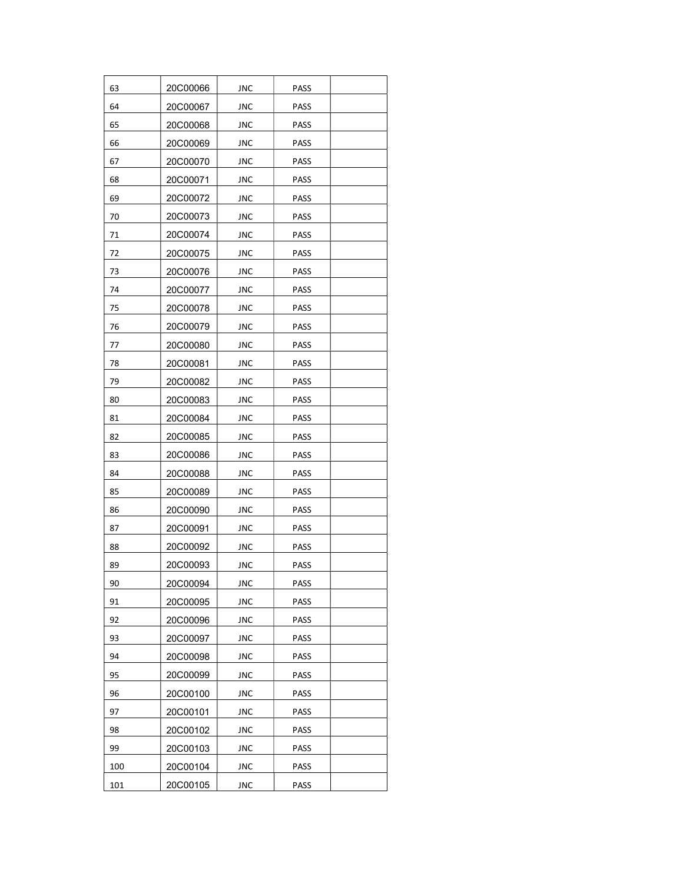| 63  | 20C00066 | JNC        | PASS        |  |
|-----|----------|------------|-------------|--|
| 64  | 20C00067 | JNC        | <b>PASS</b> |  |
| 65  | 20C00068 | JNC        | PASS        |  |
| 66  | 20C00069 | JNC        | <b>PASS</b> |  |
| 67  | 20C00070 | JNC        | <b>PASS</b> |  |
| 68  | 20C00071 | JNC        | PASS        |  |
| 69  | 20C00072 | JNC        | <b>PASS</b> |  |
| 70  | 20C00073 | JNC        | PASS        |  |
| 71  | 20C00074 | JNC        | PASS        |  |
| 72  | 20C00075 | JNC        | PASS        |  |
| 73  | 20C00076 | JNC        | PASS        |  |
| 74  | 20C00077 | JNC        | PASS        |  |
| 75  | 20C00078 | JNC        | <b>PASS</b> |  |
| 76  | 20C00079 | JNC        | PASS        |  |
| 77  | 20C00080 | JNC        | PASS        |  |
| 78  | 20C00081 | JNC        | PASS        |  |
| 79  | 20C00082 | JNC        | <b>PASS</b> |  |
| 80  | 20C00083 | JNC        | PASS        |  |
| 81  | 20C00084 | JNC        | PASS        |  |
| 82  | 20C00085 | JNC        | <b>PASS</b> |  |
| 83  | 20C00086 | JNC        | PASS        |  |
| 84  | 20C00088 | JNC        | PASS        |  |
| 85  | 20C00089 | JNC        | PASS        |  |
| 86  | 20C00090 | <b>JNC</b> | <b>PASS</b> |  |
| 87  | 20C00091 | JNC        | PASS        |  |
| 88  | 20C00092 | JNC        | <b>PASS</b> |  |
| 89  | 20C00093 | JNC        | <b>PASS</b> |  |
| 90  | 20C00094 | <b>JNC</b> | PASS        |  |
| 91  | 20C00095 | <b>JNC</b> | PASS        |  |
| 92  | 20C00096 | JNC        | PASS        |  |
| 93  | 20C00097 | JNC        | PASS        |  |
| 94  | 20C00098 | <b>JNC</b> | PASS        |  |
| 95  | 20C00099 | <b>JNC</b> | PASS        |  |
| 96  | 20C00100 | JNC        | PASS        |  |
| 97  | 20C00101 | JNC        | <b>PASS</b> |  |
| 98  | 20C00102 | JNC        | PASS        |  |
| 99  | 20C00103 | <b>JNC</b> | PASS        |  |
| 100 | 20C00104 | JNC        | PASS        |  |
| 101 | 20C00105 | <b>JNC</b> | PASS        |  |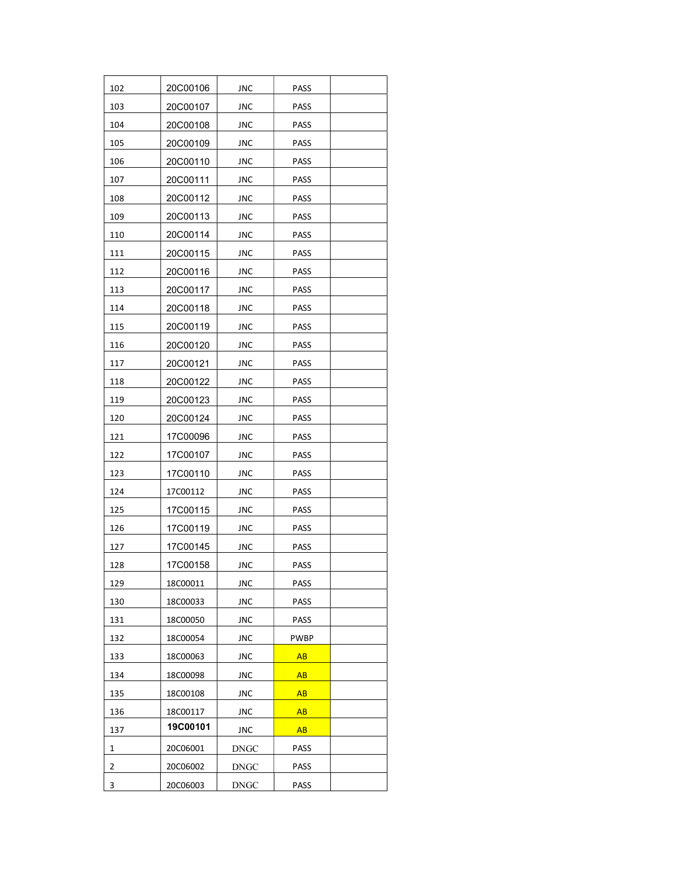| 102 | 20C00106 | JNC         | PASS        |  |
|-----|----------|-------------|-------------|--|
| 103 | 20C00107 | JNC         | PASS        |  |
| 104 | 20C00108 | JNC         | PASS        |  |
| 105 | 20C00109 | JNC         | <b>PASS</b> |  |
| 106 | 20C00110 | JNC         | <b>PASS</b> |  |
| 107 | 20C00111 | JNC         | PASS        |  |
| 108 | 20C00112 | JNC         | <b>PASS</b> |  |
| 109 | 20C00113 | JNC         | <b>PASS</b> |  |
| 110 | 20C00114 | <b>JNC</b>  | PASS        |  |
| 111 | 20C00115 | JNC         | PASS        |  |
| 112 | 20C00116 | <b>JNC</b>  | <b>PASS</b> |  |
| 113 | 20C00117 | JNC         | PASS        |  |
| 114 | 20C00118 | JNC         | <b>PASS</b> |  |
| 115 | 20C00119 | <b>JNC</b>  | PASS        |  |
| 116 | 20C00120 | JNC         | PASS        |  |
| 117 | 20C00121 | JNC         | <b>PASS</b> |  |
| 118 | 20C00122 | JNC         | PASS        |  |
| 119 | 20C00123 | JNC         | PASS        |  |
| 120 | 20C00124 | JNC         | PASS        |  |
| 121 | 17C00096 | JNC         | <b>PASS</b> |  |
| 122 | 17C00107 | JNC         | PASS        |  |
| 123 | 17C00110 | JNC         | PASS        |  |
| 124 | 17C00112 | JNC         | PASS        |  |
| 125 | 17C00115 | <b>JNC</b>  | <b>PASS</b> |  |
| 126 | 17C00119 | JNC         | PASS        |  |
| 127 | 17C00145 | JNC         | <b>PASS</b> |  |
| 128 | 17C00158 | JNC         | PASS        |  |
| 129 | 18C00011 | JNC         | <b>PASS</b> |  |
| 130 | 18C00033 | JNC         | PASS        |  |
| 131 | 18C00050 | JNC         | <b>PASS</b> |  |
| 132 | 18C00054 | JNC         | PWBP        |  |
| 133 | 18C00063 | JNC         | <b>AB</b>   |  |
| 134 | 18C00098 | JNC         | AB          |  |
| 135 | 18C00108 | JNC         | AB          |  |
| 136 | 18C00117 | JNC         | AB          |  |
| 137 | 19C00101 | JNC         | AB          |  |
| 1   | 20C06001 | DNGC        | PASS        |  |
| 2   | 20C06002 | DNGC        | <b>PASS</b> |  |
| 3   | 20C06003 | <b>DNGC</b> | PASS        |  |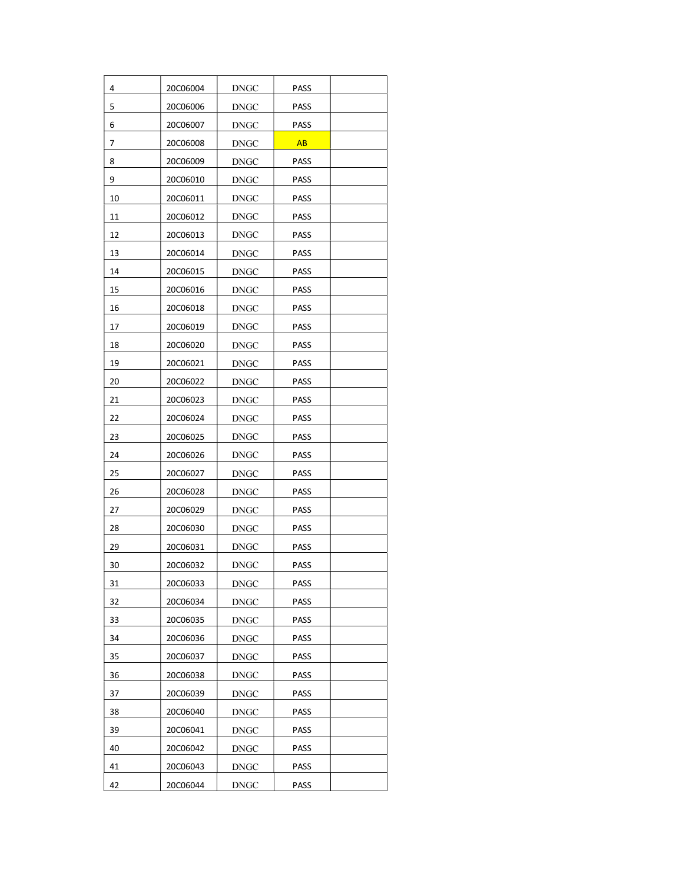| 4  | 20C06004 | DNGC        | <b>PASS</b> |  |
|----|----------|-------------|-------------|--|
| 5  | 20C06006 | <b>DNGC</b> | <b>PASS</b> |  |
| 6  | 20C06007 | DNGC        | <b>PASS</b> |  |
| 7  | 20C06008 | DNGC        | <b>AB</b>   |  |
| 8  | 20C06009 | DNGC        | PASS        |  |
| 9  | 20C06010 | <b>DNGC</b> | <b>PASS</b> |  |
| 10 | 20C06011 | DNGC        | <b>PASS</b> |  |
| 11 | 20C06012 | DNGC        | PASS        |  |
| 12 | 20C06013 | DNGC        | PASS        |  |
| 13 | 20C06014 | <b>DNGC</b> | PASS        |  |
| 14 | 20C06015 | DNGC        | PASS        |  |
| 15 | 20C06016 | DNGC        | <b>PASS</b> |  |
| 16 | 20C06018 | DNGC        | PASS        |  |
| 17 | 20C06019 | <b>DNGC</b> | PASS        |  |
| 18 | 20C06020 | <b>DNGC</b> | PASS        |  |
| 19 | 20C06021 | <b>DNGC</b> | PASS        |  |
| 20 | 20C06022 | <b>DNGC</b> | <b>PASS</b> |  |
| 21 | 20C06023 | DNGC        | PASS        |  |
| 22 | 20C06024 | DNGC        | PASS        |  |
| 23 | 20C06025 | DNGC        | <b>PASS</b> |  |
| 24 | 20C06026 | DNGC        | PASS        |  |
| 25 | 20C06027 | DNGC        | PASS        |  |
| 26 | 20C06028 | DNGC        | PASS        |  |
| 27 | 20C06029 | DNGC        | <b>PASS</b> |  |
| 28 | 20C06030 | DNGC        | PASS        |  |
| 29 | 20C06031 | DNGC        | PASS        |  |
| 30 | 20C06032 | DNGC        | PASS        |  |
| 31 | 20C06033 | <b>DNGC</b> | PASS        |  |
| 32 | 20C06034 | <b>DNGC</b> | PASS        |  |
| 33 | 20C06035 | <b>DNGC</b> | <b>PASS</b> |  |
| 34 | 20C06036 | DNGC        | PASS        |  |
| 35 | 20C06037 | <b>DNGC</b> | PASS        |  |
| 36 | 20C06038 | <b>DNGC</b> | PASS        |  |
| 37 | 20C06039 | DNGC        | PASS        |  |
| 38 | 20C06040 | <b>DNGC</b> | PASS        |  |
| 39 | 20C06041 | DNGC        | PASS        |  |
| 40 | 20C06042 | <b>DNGC</b> | PASS        |  |
| 41 | 20C06043 | <b>DNGC</b> | PASS        |  |
| 42 | 20C06044 | <b>DNGC</b> | PASS        |  |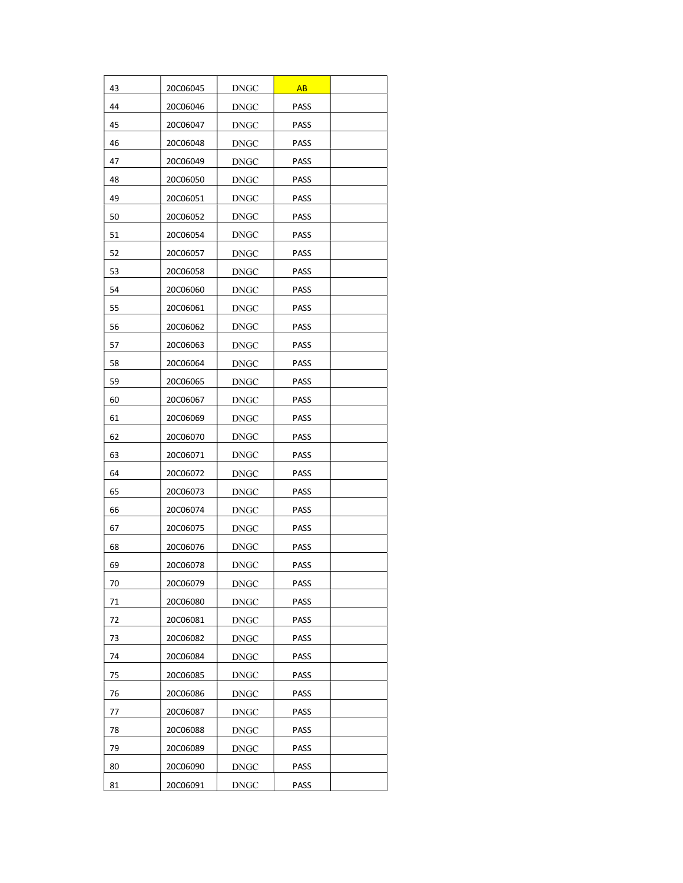| 43 | 20C06045 | $\operatorname{DNGC}$ | <b>AB</b>   |  |
|----|----------|-----------------------|-------------|--|
| 44 | 20C06046 | <b>DNGC</b>           | PASS        |  |
| 45 | 20C06047 | DNGC                  | <b>PASS</b> |  |
| 46 | 20C06048 | DNGC                  | PASS        |  |
| 47 | 20C06049 | DNGC                  | PASS        |  |
| 48 | 20C06050 | <b>DNGC</b>           | <b>PASS</b> |  |
| 49 | 20C06051 | DNGC                  | <b>PASS</b> |  |
| 50 | 20C06052 | DNGC                  | PASS        |  |
| 51 | 20C06054 | DNGC                  | PASS        |  |
| 52 | 20C06057 | <b>DNGC</b>           | PASS        |  |
| 53 | 20C06058 | DNGC                  | PASS        |  |
| 54 | 20C06060 | DNGC                  | PASS        |  |
| 55 | 20C06061 | DNGC                  | PASS        |  |
| 56 | 20C06062 | <b>DNGC</b>           | PASS        |  |
| 57 | 20C06063 | <b>DNGC</b>           | PASS        |  |
| 58 | 20C06064 | <b>DNGC</b>           | <b>PASS</b> |  |
| 59 | 20C06065 | <b>DNGC</b>           | PASS        |  |
| 60 | 20C06067 | DNGC                  | PASS        |  |
| 61 | 20C06069 | DNGC                  | PASS        |  |
| 62 | 20C06070 | DNGC                  | <b>PASS</b> |  |
| 63 | 20C06071 | DNGC                  | PASS        |  |
| 64 | 20C06072 | <b>DNGC</b>           | PASS        |  |
| 65 | 20C06073 | DNGC                  | PASS        |  |
| 66 | 20C06074 | DNGC                  | <b>PASS</b> |  |
| 67 | 20C06075 | DNGC                  | PASS        |  |
| 68 | 20C06076 | DNGC                  | <b>PASS</b> |  |
| 69 | 20C06078 | DNGC                  | PASS        |  |
| 70 | 20C06079 | <b>DNGC</b>           | PASS        |  |
| 71 | 20C06080 | DNGC                  | PASS        |  |
| 72 | 20C06081 | DNGC                  | PASS        |  |
| 73 | 20C06082 | DNGC                  | PASS        |  |
| 74 | 20C06084 | DNGC                  | <b>PASS</b> |  |
| 75 | 20C06085 | <b>DNGC</b>           | PASS        |  |
| 76 | 20C06086 | <b>DNGC</b>           | <b>PASS</b> |  |
| 77 | 20C06087 | DNGC                  | <b>PASS</b> |  |
| 78 | 20C06088 | DNGC                  | PASS        |  |
| 79 | 20C06089 | <b>DNGC</b>           | PASS        |  |
| 80 | 20C06090 | <b>DNGC</b>           | <b>PASS</b> |  |
| 81 | 20C06091 | <b>DNGC</b>           | PASS        |  |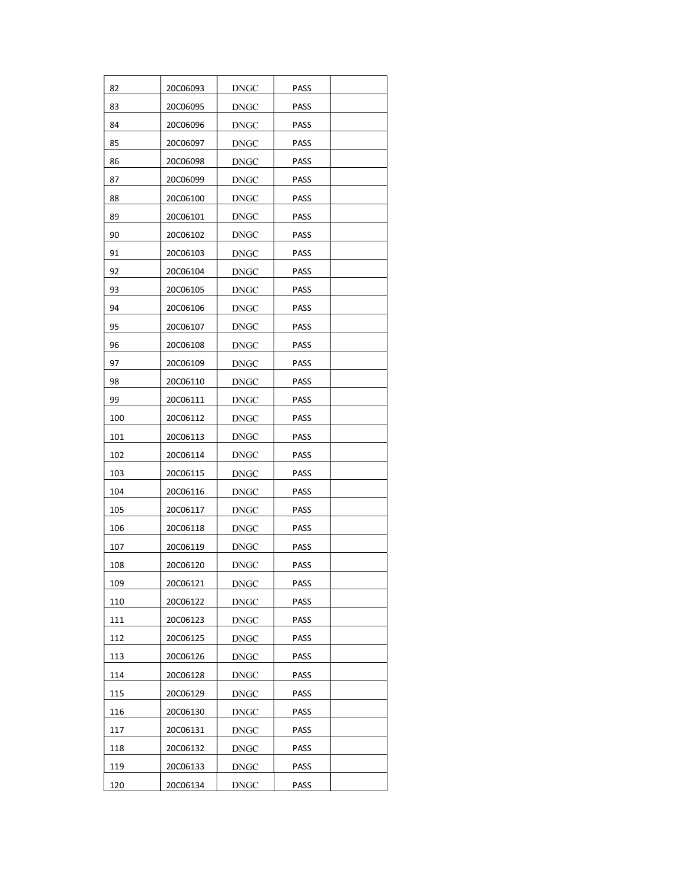| 82  | 20C06093 | DNGC        | PASS        |  |
|-----|----------|-------------|-------------|--|
| 83  | 20C06095 | <b>DNGC</b> | PASS        |  |
| 84  | 20C06096 | <b>DNGC</b> | PASS        |  |
| 85  | 20C06097 | <b>DNGC</b> | PASS        |  |
| 86  | 20C06098 | DNGC        | PASS        |  |
| 87  | 20C06099 | <b>DNGC</b> | PASS        |  |
| 88  | 20C06100 | <b>DNGC</b> | PASS        |  |
| 89  | 20C06101 | <b>DNGC</b> | PASS        |  |
| 90  | 20C06102 | <b>DNGC</b> | PASS        |  |
| 91  | 20C06103 | <b>DNGC</b> | PASS        |  |
| 92  | 20C06104 | <b>DNGC</b> | PASS        |  |
| 93  | 20C06105 | DNGC        | PASS        |  |
| 94  | 20C06106 | DNGC        | PASS        |  |
| 95  | 20C06107 | <b>DNGC</b> | PASS        |  |
| 96  | 20C06108 | DNGC        | PASS        |  |
| 97  | 20C06109 | DNGC        | <b>PASS</b> |  |
| 98  | 20C06110 | DNGC        | PASS        |  |
| 99  | 20C06111 | <b>DNGC</b> | PASS        |  |
| 100 | 20C06112 | <b>DNGC</b> | PASS        |  |
| 101 | 20C06113 | DNGC        | PASS        |  |
| 102 | 20C06114 | DNGC        | PASS        |  |
| 103 | 20C06115 | DNGC        | PASS        |  |
| 104 | 20C06116 | DNGC        | <b>PASS</b> |  |
| 105 | 20C06117 | DNGC        | <b>PASS</b> |  |
| 106 | 20C06118 | <b>DNGC</b> | PASS        |  |
| 107 | 20C06119 | DNGC        | <b>PASS</b> |  |
| 108 | 20C06120 | DNGC        | <b>PASS</b> |  |
| 109 | 20C06121 | <b>DNGC</b> | PASS        |  |
| 110 | 20C06122 | <b>DNGC</b> | PASS        |  |
| 111 | 20C06123 | <b>DNGC</b> | <b>PASS</b> |  |
| 112 | 20C06125 | DNGC        | PASS        |  |
| 113 | 20C06126 | DNGC        | PASS        |  |
| 114 | 20C06128 | <b>DNGC</b> | <b>PASS</b> |  |
| 115 | 20C06129 | <b>DNGC</b> | PASS        |  |
| 116 | 20C06130 | <b>DNGC</b> | PASS        |  |
| 117 | 20C06131 | <b>DNGC</b> | PASS        |  |
| 118 | 20C06132 | <b>DNGC</b> | PASS        |  |
| 119 | 20C06133 | <b>DNGC</b> | PASS        |  |
| 120 | 20C06134 | <b>DNGC</b> | PASS        |  |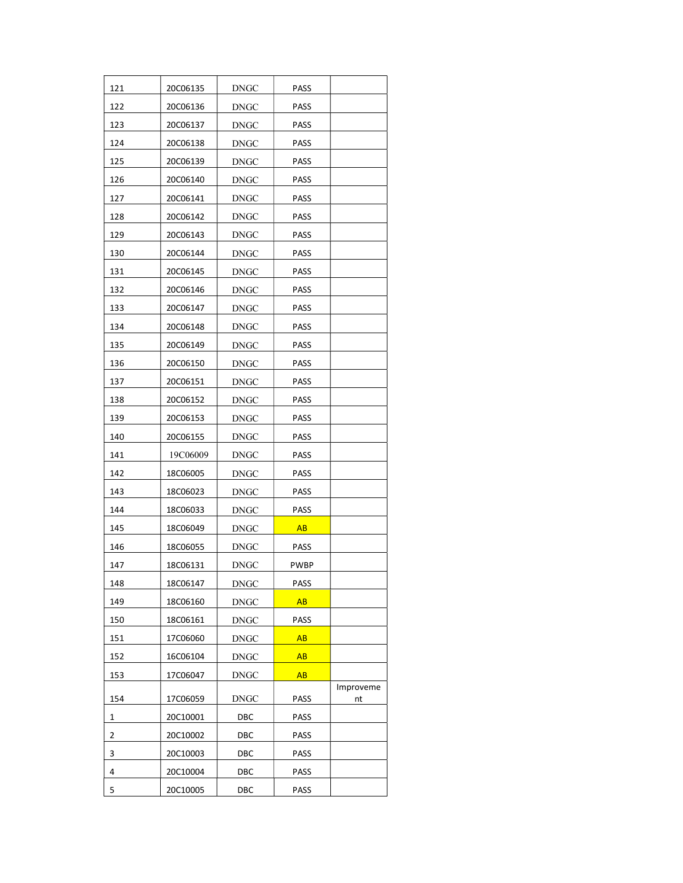| 121 | 20C06135        | DNGC        | PASS        |                 |
|-----|-----------------|-------------|-------------|-----------------|
| 122 | 20C06136        | DNGC        | PASS        |                 |
| 123 | 20C06137        | DNGC        | <b>PASS</b> |                 |
| 124 | 20C06138        | DNGC        | <b>PASS</b> |                 |
| 125 | 20C06139        | DNGC        | PASS        |                 |
| 126 | 20C06140        | DNGC        | PASS        |                 |
| 127 | 20C06141        | <b>DNGC</b> | <b>PASS</b> |                 |
| 128 | 20C06142        | DNGC        | PASS        |                 |
| 129 | 20C06143        | DNGC        | PASS        |                 |
| 130 | 20C06144        | <b>DNGC</b> | PASS        |                 |
| 131 | 20C06145        | DNGC        | <b>PASS</b> |                 |
| 132 | 20C06146        | DNGC        | PASS        |                 |
| 133 | 20C06147        | DNGC        | PASS        |                 |
| 134 | 20C06148        | DNGC        | PASS        |                 |
| 135 | 20C06149        | <b>DNGC</b> | PASS        |                 |
| 136 | 20C06150        | <b>DNGC</b> | <b>PASS</b> |                 |
| 137 | 20C06151        | <b>DNGC</b> | PASS        |                 |
| 138 | 20C06152        | DNGC        | PASS        |                 |
| 139 | 20C06153        | DNGC        | PASS        |                 |
| 140 | 20C06155        | <b>DNGC</b> | <b>PASS</b> |                 |
| 141 | 19C06009        | <b>DNGC</b> | PASS        |                 |
| 142 | 18C06005        | DNGC        | PASS        |                 |
| 143 | 18C06023        | <b>DNGC</b> | PASS        |                 |
| 144 | 18C06033        | DNGC        | PASS        |                 |
| 145 | 18C06049        | DNGC        | <b>AB</b>   |                 |
| 146 | <b>18C06055</b> | <b>DNGC</b> | <b>PASS</b> |                 |
| 147 | 18C06131        | DNGC        | PWBP        |                 |
| 148 | 18C06147        | <b>DNGC</b> | <b>PASS</b> |                 |
| 149 | 18C06160        | <b>DNGC</b> | AB          |                 |
| 150 | 18C06161        | <b>DNGC</b> | PASS        |                 |
| 151 | 17C06060        | DNGC        | <b>AB</b>   |                 |
| 152 | 16C06104        | <b>DNGC</b> | AB          |                 |
| 153 | 17C06047        | DNGC        | <b>AB</b>   |                 |
| 154 | 17C06059        | DNGC        | PASS        | Improveme<br>nt |
| 1   | 20C10001        | DBC         | PASS        |                 |
| 2   | 20C10002        | DBC         | PASS        |                 |
| 3   | 20C10003        | DBC         | PASS        |                 |
| 4   | 20C10004        | DBC         | PASS        |                 |
| 5   | 20C10005        | DBC         | PASS        |                 |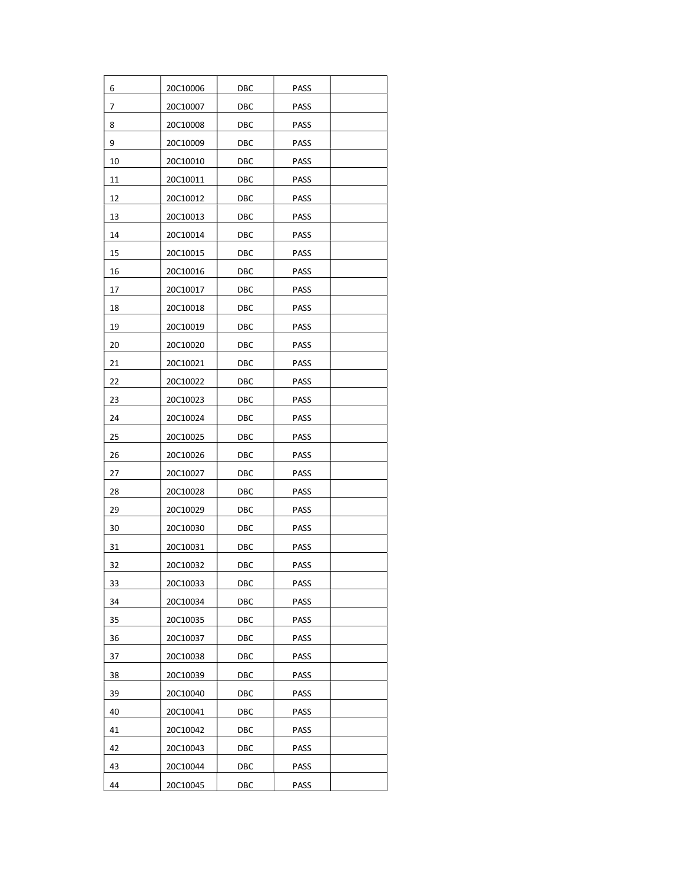| 6  | 20C10006 | DBC | PASS        |  |
|----|----------|-----|-------------|--|
| 7  | 20C10007 | DBC | PASS        |  |
| 8  | 20C10008 | DBC | PASS        |  |
| 9  | 20C10009 | DBC | <b>PASS</b> |  |
| 10 | 20C10010 | DBC | PASS        |  |
| 11 | 20C10011 | DBC | PASS        |  |
| 12 | 20C10012 | DBC | <b>PASS</b> |  |
| 13 | 20C10013 | DBC | PASS        |  |
| 14 | 20C10014 | DBC | PASS        |  |
| 15 | 20C10015 | DBC | PASS        |  |
| 16 | 20C10016 | DBC | PASS        |  |
| 17 | 20C10017 | DBC | PASS        |  |
| 18 | 20C10018 | DBC | <b>PASS</b> |  |
| 19 | 20C10019 | DBC | <b>PASS</b> |  |
| 20 | 20C10020 | DBC | PASS        |  |
| 21 | 20C10021 | DBC | PASS        |  |
| 22 | 20C10022 | DBC | <b>PASS</b> |  |
| 23 | 20C10023 | DBC | PASS        |  |
| 24 | 20C10024 | DBC | PASS        |  |
| 25 | 20C10025 | DBC | <b>PASS</b> |  |
| 26 | 20C10026 | DBC | PASS        |  |
| 27 | 20C10027 | DBC | PASS        |  |
| 28 | 20C10028 | DBC | PASS        |  |
| 29 | 20C10029 | DBC | PASS        |  |
| 30 | 20C10030 | DBC | PASS        |  |
| 31 | 20C10031 | DBC | PASS        |  |
| 32 | 20C10032 | DBC | PASS        |  |
| 33 | 20C10033 | DBC | <b>PASS</b> |  |
| 34 | 20C10034 | DBC | PASS        |  |
| 35 | 20C10035 | DBC | PASS        |  |
| 36 | 20C10037 | DBC | PASS        |  |
| 37 | 20C10038 | DBC | PASS        |  |
| 38 | 20C10039 | DBC | PASS        |  |
| 39 | 20C10040 | DBC | PASS        |  |
| 40 | 20C10041 | DBC | PASS        |  |
| 41 | 20C10042 | DBC | PASS        |  |
| 42 | 20C10043 | DBC | PASS        |  |
| 43 | 20C10044 | DBC | <b>PASS</b> |  |
| 44 | 20C10045 | DBC | PASS        |  |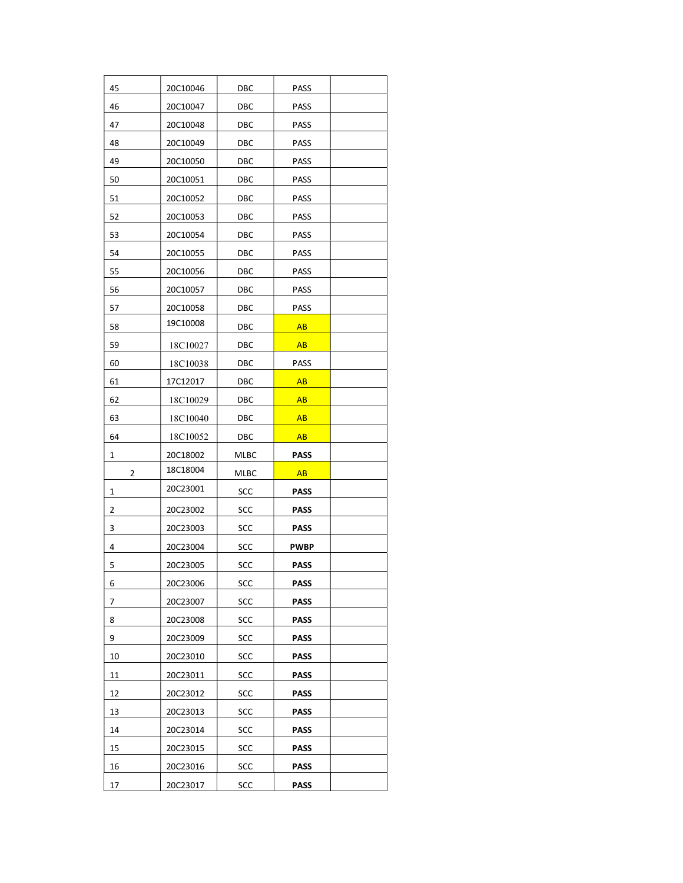| 45 | 20C10046 | DBC        | PASS        |  |
|----|----------|------------|-------------|--|
| 46 | 20C10047 | DBC        | PASS        |  |
| 47 | 20C10048 | DBC        | PASS        |  |
| 48 | 20C10049 | DBC        | <b>PASS</b> |  |
| 49 | 20C10050 | DBC        | <b>PASS</b> |  |
| 50 | 20C10051 | DBC        | PASS        |  |
| 51 | 20C10052 | DBC        | <b>PASS</b> |  |
| 52 | 20C10053 | DBC        | PASS        |  |
| 53 | 20C10054 | DBC        | PASS        |  |
| 54 | 20C10055 | DBC        | PASS        |  |
| 55 | 20C10056 | DBC        | <b>PASS</b> |  |
| 56 | 20C10057 | DBC        | PASS        |  |
| 57 | 20C10058 | DBC        | PASS        |  |
| 58 | 19C10008 | DBC        | AB          |  |
| 59 | 18C10027 | DBC        | AB          |  |
| 60 | 18C10038 | DBC        | PASS        |  |
| 61 | 17C12017 | DBC        | AB          |  |
| 62 | 18C10029 | DBC        | AB          |  |
| 63 | 18C10040 | DBC        | <b>AB</b>   |  |
| 64 | 18C10052 | DBC        | <b>AB</b>   |  |
| 1  | 20C18002 | MLBC       | <b>PASS</b> |  |
| 2  | 18C18004 | MLBC       | AB          |  |
| 1  | 20C23001 | SCC        | <b>PASS</b> |  |
| 2  | 20C23002 | SCC        | <b>PASS</b> |  |
| 3  | 20C23003 | SCC        | <b>PASS</b> |  |
| 4  | 20C23004 | SCC        | PWBP        |  |
| 5  | 20C23005 | SCC        | <b>PASS</b> |  |
| 6  | 20C23006 | SCC        | PASS        |  |
| 7  | 20C23007 | SCC        | <b>PASS</b> |  |
| 8  | 20C23008 | SCC        | <b>PASS</b> |  |
| 9  | 20C23009 | SCC        | <b>PASS</b> |  |
| 10 | 20C23010 | SCC        | <b>PASS</b> |  |
| 11 | 20C23011 | SCC        | <b>PASS</b> |  |
| 12 | 20C23012 | SCC        | <b>PASS</b> |  |
| 13 | 20C23013 | SCC        | <b>PASS</b> |  |
| 14 | 20C23014 | SCC        | <b>PASS</b> |  |
| 15 | 20C23015 | SCC        | <b>PASS</b> |  |
| 16 | 20C23016 | <b>SCC</b> | <b>PASS</b> |  |
|    | 20C23017 | SCC        | <b>PASS</b> |  |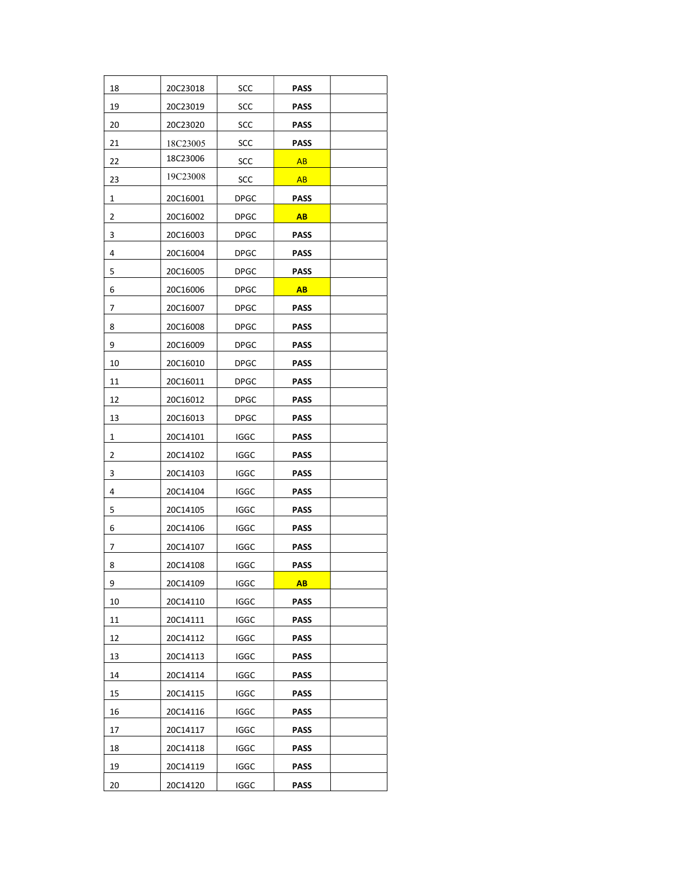| 18 | 20C23018 | SCC         | <b>PASS</b> |  |
|----|----------|-------------|-------------|--|
| 19 | 20C23019 | SCC         | <b>PASS</b> |  |
| 20 | 20C23020 | SCC         | <b>PASS</b> |  |
| 21 | 18C23005 | SCC         | <b>PASS</b> |  |
| 22 | 18C23006 | SCC         | AB          |  |
| 23 | 19C23008 | SCC         | <b>AB</b>   |  |
| 1  | 20C16001 | <b>DPGC</b> | <b>PASS</b> |  |
| 2  | 20C16002 | DPGC        | <b>AB</b>   |  |
| 3  | 20C16003 | DPGC        | <b>PASS</b> |  |
| 4  | 20C16004 | <b>DPGC</b> | <b>PASS</b> |  |
| 5  | 20C16005 | <b>DPGC</b> | <b>PASS</b> |  |
| 6  | 20C16006 | <b>DPGC</b> | AB          |  |
| 7  | 20C16007 | DPGC        | PASS        |  |
| 8  | 20C16008 | <b>DPGC</b> | <b>PASS</b> |  |
| 9  | 20C16009 | <b>DPGC</b> | <b>PASS</b> |  |
| 10 | 20C16010 | <b>DPGC</b> | <b>PASS</b> |  |
| 11 | 20C16011 | <b>DPGC</b> | PASS        |  |
| 12 | 20C16012 | <b>DPGC</b> | PASS        |  |
| 13 | 20C16013 | DPGC        | <b>PASS</b> |  |
| 1  | 20C14101 | IGGC        | PASS        |  |
| 2  | 20C14102 | IGGC        | PASS        |  |
| 3  | 20C14103 | <b>IGGC</b> | PASS        |  |
| 4  | 20C14104 | IGGC        | PASS        |  |
| 5  | 20C14105 | IGGC        | PASS        |  |
| 6  | 20C14106 | IGGC        | <b>PASS</b> |  |
| 7  | 20C14107 | IGGC        | PASS        |  |
| 8  | 20C14108 | IGGC        | <b>PASS</b> |  |
| 9  | 20C14109 | <b>IGGC</b> | <b>AB</b>   |  |
| 10 | 20C14110 | <b>IGGC</b> | <b>PASS</b> |  |
| 11 | 20C14111 | <b>IGGC</b> |             |  |
|    | 20C14112 |             | <b>PASS</b> |  |
| 12 |          | <b>IGGC</b> | <b>PASS</b> |  |
| 13 | 20C14113 | <b>IGGC</b> | <b>PASS</b> |  |
| 14 | 20C14114 | <b>IGGC</b> | <b>PASS</b> |  |
| 15 | 20C14115 | <b>IGGC</b> | <b>PASS</b> |  |
| 16 | 20C14116 | <b>IGGC</b> | <b>PASS</b> |  |
| 17 | 20C14117 | <b>IGGC</b> | <b>PASS</b> |  |
| 18 | 20C14118 | <b>IGGC</b> | <b>PASS</b> |  |
| 19 | 20C14119 | <b>IGGC</b> | <b>PASS</b> |  |
| 20 | 20C14120 | <b>IGGC</b> | <b>PASS</b> |  |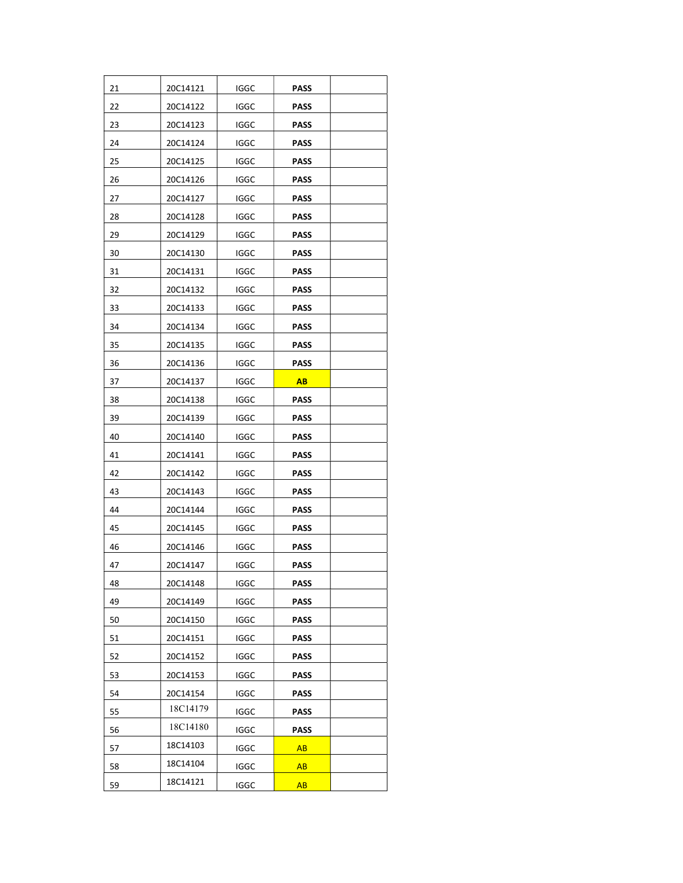| 21 | 20C14121 | IGGC        | PASS        |  |
|----|----------|-------------|-------------|--|
| 22 | 20C14122 | IGGC        | <b>PASS</b> |  |
| 23 | 20C14123 | IGGC        | <b>PASS</b> |  |
| 24 | 20C14124 | <b>IGGC</b> | <b>PASS</b> |  |
| 25 | 20C14125 | IGGC        | <b>PASS</b> |  |
| 26 | 20C14126 | IGGC        | <b>PASS</b> |  |
| 27 | 20C14127 | <b>IGGC</b> | <b>PASS</b> |  |
| 28 | 20C14128 | IGGC        | <b>PASS</b> |  |
| 29 | 20C14129 | IGGC        | <b>PASS</b> |  |
| 30 | 20C14130 | IGGC        | PASS        |  |
| 31 | 20C14131 | <b>IGGC</b> | <b>PASS</b> |  |
| 32 | 20C14132 | IGGC        | PASS        |  |
| 33 | 20C14133 | IGGC        | PASS        |  |
| 34 | 20C14134 | <b>IGGC</b> | <b>PASS</b> |  |
| 35 | 20C14135 | <b>IGGC</b> | <b>PASS</b> |  |
| 36 | 20C14136 | <b>IGGC</b> | PASS        |  |
| 37 | 20C14137 | IGGC        | <b>AB</b>   |  |
| 38 | 20C14138 | IGGC        | PASS        |  |
| 39 | 20C14139 | IGGC        | PASS        |  |
| 40 | 20C14140 | IGGC        | PASS        |  |
| 41 | 20C14141 | IGGC        | PASS        |  |
| 42 | 20C14142 | IGGC        | PASS        |  |
| 43 | 20C14143 | IGGC        | PASS        |  |
| 44 | 20C14144 | IGGC        | PASS        |  |
| 45 | 20C14145 | IGGC        | PASS        |  |
| 46 | 20C14146 | <b>IGGC</b> | PASS        |  |
| 47 | 20C14147 | <b>IGGC</b> | PASS        |  |
| 48 | 20C14148 | <b>IGGC</b> | <b>PASS</b> |  |
| 49 | 20C14149 | <b>IGGC</b> | <b>PASS</b> |  |
| 50 | 20C14150 | <b>IGGC</b> | <b>PASS</b> |  |
| 51 | 20C14151 | <b>IGGC</b> | <b>PASS</b> |  |
| 52 | 20C14152 | <b>IGGC</b> | <b>PASS</b> |  |
| 53 | 20C14153 | <b>IGGC</b> | <b>PASS</b> |  |
| 54 | 20C14154 | IGGC        | <b>PASS</b> |  |
| 55 | 18C14179 | IGGC        | <b>PASS</b> |  |
| 56 | 18C14180 | <b>IGGC</b> | <b>PASS</b> |  |
| 57 | 18C14103 | <b>IGGC</b> | <b>AB</b>   |  |
| 58 | 18C14104 | IGGC        | AB          |  |
| 59 | 18C14121 | <b>IGGC</b> | AB          |  |
|    |          |             |             |  |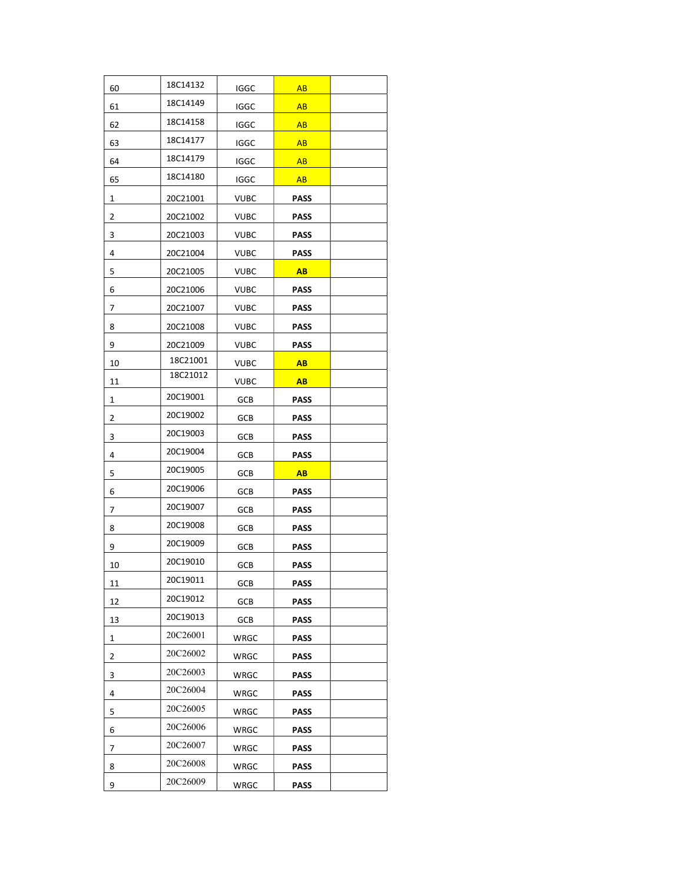| 60 | 18C14132 | <b>IGGC</b> | AB          |  |
|----|----------|-------------|-------------|--|
| 61 | 18C14149 | <b>IGGC</b> | AB          |  |
| 62 | 18C14158 | <b>IGGC</b> | AB          |  |
| 63 | 18C14177 | IGGC        | AB          |  |
| 64 | 18C14179 | IGGC        | AB          |  |
| 65 | 18C14180 | IGGC        | AB          |  |
| 1  | 20C21001 | <b>VUBC</b> | <b>PASS</b> |  |
| 2  | 20C21002 | VUBC        | <b>PASS</b> |  |
| 3  | 20C21003 | <b>VUBC</b> | <b>PASS</b> |  |
| 4  | 20C21004 | VUBC        | <b>PASS</b> |  |
| 5  | 20C21005 | VUBC        | AB          |  |
| 6  | 20C21006 | VUBC        | <b>PASS</b> |  |
| 7  | 20C21007 | <b>VUBC</b> | <b>PASS</b> |  |
| 8  | 20C21008 | VUBC        | <b>PASS</b> |  |
| 9  | 20C21009 | <b>VUBC</b> | <b>PASS</b> |  |
| 10 | 18C21001 | <b>VUBC</b> | AB          |  |
| 11 | 18C21012 | VUBC        | AB          |  |
| 1  | 20C19001 | <b>GCB</b>  | <b>PASS</b> |  |
| 2  | 20C19002 | GCB         | <b>PASS</b> |  |
| 3  | 20C19003 | GCB         | <b>PASS</b> |  |
| 4  | 20C19004 | GCB         | <b>PASS</b> |  |
| 5  | 20C19005 | GCB         | <b>AB</b>   |  |
| 6  | 20C19006 | GCB         | PASS        |  |
| 7  | 20C19007 | GCB         | PASS        |  |
| 8  | 20C19008 | GCB         | <b>PASS</b> |  |
| 9  | 20C19009 | GCB         | PASS        |  |
| 10 | 20C19010 | GCB         | <b>PASS</b> |  |
| 11 | 20C19011 | <b>GCB</b>  | <b>PASS</b> |  |
| 12 | 20C19012 | GCB         | PASS        |  |
| 13 | 20C19013 | GCB         | PASS        |  |
| 1  | 20C26001 | WRGC        | <b>PASS</b> |  |
| 2  | 20C26002 | WRGC        | <b>PASS</b> |  |
| 3  | 20C26003 | WRGC        | PASS        |  |
| 4  | 20C26004 | WRGC        | PASS        |  |
| 5  | 20C26005 | WRGC        | <b>PASS</b> |  |
| 6  | 20C26006 | WRGC        | <b>PASS</b> |  |
| 7  | 20C26007 | WRGC        | <b>PASS</b> |  |
| 8  | 20C26008 | WRGC        | <b>PASS</b> |  |
| 9  | 20C26009 | WRGC        | <b>PASS</b> |  |